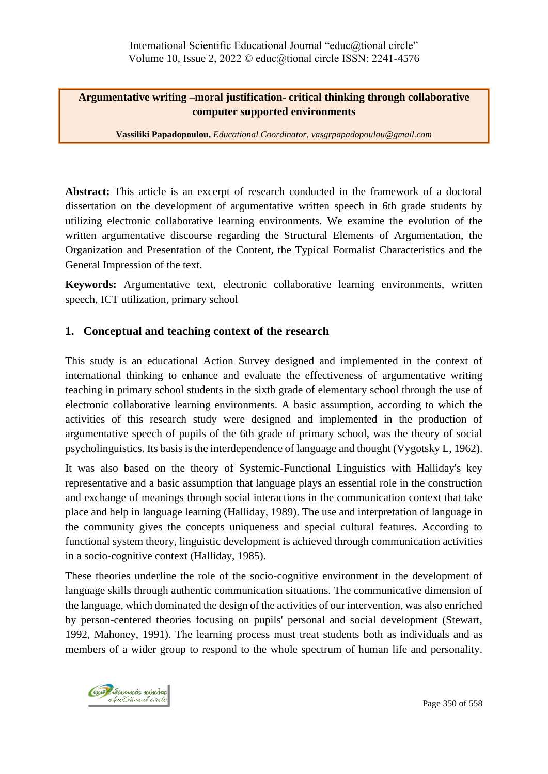### **Argumentative writing –moral justification- critical thinking through collaborative computer supported environments**

**Vassiliki Papadopoulou,** *Educational Coordinator, [vasgrpapadopoulou@gmail.com](mailto:vasgrpapadopoulou@gmail.com)*

**Abstract:** This article is an excerpt of research conducted in the framework of a doctoral dissertation on the development of argumentative written speech in 6th grade students by utilizing electronic collaborative learning environments. We examine the evolution of the written argumentative discourse regarding the Structural Elements of Argumentation, the Organization and Presentation of the Content, the Typical Formalist Characteristics and the General Impression of the text.

**Keywords:** Argumentative text, electronic collaborative learning environments, written speech, ICT utilization, primary school

### **1. Conceptual and teaching context of the research**

This study is an educational Action Survey designed and implemented in the context of international thinking to enhance and evaluate the effectiveness of argumentative writing teaching in primary school students in the sixth grade of elementary school through the use of electronic collaborative learning environments. A basic assumption, according to which the activities of this research study were designed and implemented in the production of argumentative speech of pupils of the 6th grade of primary school, was the theory of social psycholinguistics. Its basis is the interdependence of language and thought (Vygotsky L, 1962).

It was also based on the theory of Systemic-Functional Linguistics with Halliday's key representative and a basic assumption that language plays an essential role in the construction and exchange of meanings through social interactions in the communication context that take place and help in language learning (Halliday, 1989). The use and interpretation of language in the community gives the concepts uniqueness and special cultural features. According to functional system theory, linguistic development is achieved through communication activities in a socio-cognitive context (Halliday, 1985).

These theories underline the role of the socio-cognitive environment in the development of language skills through authentic communication situations. The communicative dimension of the language, which dominated the design of the activities of our intervention, was also enriched by person-centered theories focusing on pupils' personal and social development (Stewart, 1992, Mahoney, 1991). The learning process must treat students both as individuals and as members of a wider group to respond to the whole spectrum of human life and personality.

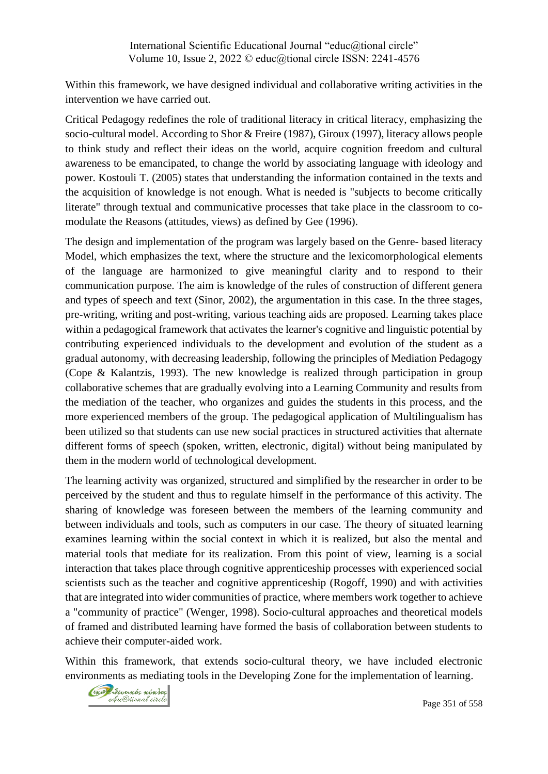Within this framework, we have designed individual and collaborative writing activities in the intervention we have carried out.

Critical Pedagogy redefines the role of traditional literacy in critical literacy, emphasizing the socio-cultural model. According to Shor & Freire (1987), Giroux (1997), literacy allows people to think study and reflect their ideas on the world, acquire cognition freedom and cultural awareness to be emancipated, to change the world by associating language with ideology and power. Kostouli T. (2005) states that understanding the information contained in the texts and the acquisition of knowledge is not enough. What is needed is "subjects to become critically literate" through textual and communicative processes that take place in the classroom to comodulate the Reasons (attitudes, views) as defined by Gee (1996).

The design and implementation of the program was largely based on the Genre- based literacy Model, which emphasizes the text, where the structure and the lexicomorphological elements of the language are harmonized to give meaningful clarity and to respond to their communication purpose. The aim is knowledge of the rules of construction of different genera and types of speech and text (Sinor, 2002), the argumentation in this case. In the three stages, pre-writing, writing and post-writing, various teaching aids are proposed. Learning takes place within a pedagogical framework that activates the learner's cognitive and linguistic potential by contributing experienced individuals to the development and evolution of the student as a gradual autonomy, with decreasing leadership, following the principles of Mediation Pedagogy (Cope & Kalantzis, 1993). The new knowledge is realized through participation in group collaborative schemes that are gradually evolving into a Learning Community and results from the mediation of the teacher, who organizes and guides the students in this process, and the more experienced members of the group. The pedagogical application of Multilingualism has been utilized so that students can use new social practices in structured activities that alternate different forms of speech (spoken, written, electronic, digital) without being manipulated by them in the modern world of technological development.

The learning activity was organized, structured and simplified by the researcher in order to be perceived by the student and thus to regulate himself in the performance of this activity. The sharing of knowledge was foreseen between the members of the learning community and between individuals and tools, such as computers in our case. The theory of situated learning examines learning within the social context in which it is realized, but also the mental and material tools that mediate for its realization. From this point of view, learning is a social interaction that takes place through cognitive apprenticeship processes with experienced social scientists such as the teacher and cognitive apprenticeship (Rogoff, 1990) and with activities that are integrated into wider communities of practice, where members work together to achieve a "community of practice" (Wenger, 1998). Socio-cultural approaches and theoretical models of framed and distributed learning have formed the basis of collaboration between students to achieve their computer-aided work.

Within this framework, that extends socio-cultural theory, we have included electronic environments as mediating tools in the Developing Zone for the implementation of learning.

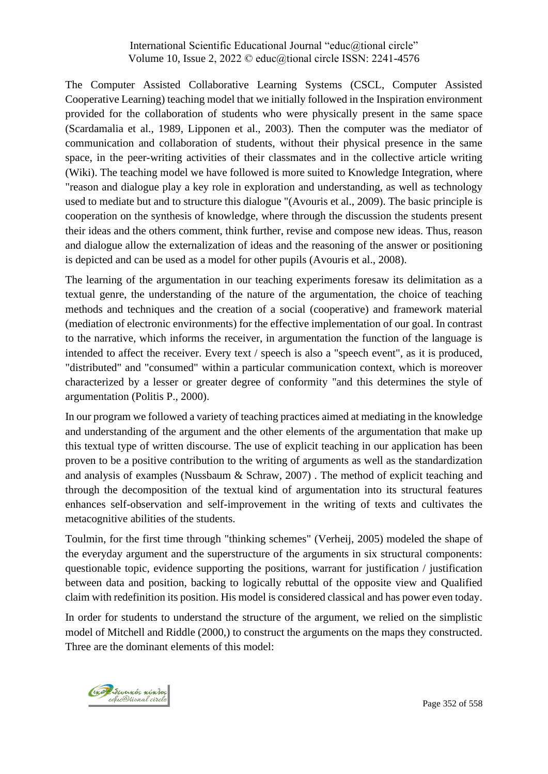The Computer Assisted Collaborative Learning Systems (CSCL, Computer Assisted Cooperative Learning) teaching model that we initially followed in the Inspiration environment provided for the collaboration of students who were physically present in the same space (Scardamalia et al., 1989, Lipponen et al., 2003). Then the computer was the mediator of communication and collaboration of students, without their physical presence in the same space, in the peer-writing activities of their classmates and in the collective article writing (Wiki). The teaching model we have followed is more suited to Knowledge Integration, where "reason and dialogue play a key role in exploration and understanding, as well as technology used to mediate but and to structure this dialogue "(Avouris et al., 2009). The basic principle is cooperation on the synthesis of knowledge, where through the discussion the students present their ideas and the others comment, think further, revise and compose new ideas. Thus, reason and dialogue allow the externalization of ideas and the reasoning of the answer or positioning is depicted and can be used as a model for other pupils (Avouris et al., 2008).

The learning of the argumentation in our teaching experiments foresaw its delimitation as a textual genre, the understanding of the nature of the argumentation, the choice of teaching methods and techniques and the creation of a social (cooperative) and framework material (mediation of electronic environments) for the effective implementation of our goal. In contrast to the narrative, which informs the receiver, in argumentation the function of the language is intended to affect the receiver. Every text / speech is also a "speech event", as it is produced, "distributed" and "consumed" within a particular communication context, which is moreover characterized by a lesser or greater degree of conformity "and this determines the style of argumentation (Politis P., 2000).

In our program we followed a variety of teaching practices aimed at mediating in the knowledge and understanding of the argument and the other elements of the argumentation that make up this textual type of written discourse. The use of explicit teaching in our application has been proven to be a positive contribution to the writing of arguments as well as the standardization and analysis of examples (Nussbaum & Schraw, 2007) . The method of explicit teaching and through the decomposition of the textual kind of argumentation into its structural features enhances self-observation and self-improvement in the writing of texts and cultivates the metacognitive abilities of the students.

Toulmin, for the first time through "thinking schemes" (Verheij, 2005) modeled the shape of the everyday argument and the superstructure of the arguments in six structural components: questionable topic, evidence supporting the positions, warrant for justification / justification between data and position, backing to logically rebuttal of the opposite view and Qualified claim with redefinition its position. His model is considered classical and has power even today.

In order for students to understand the structure of the argument, we relied on the simplistic model of Mitchell and Riddle (2000,) to construct the arguments on the maps they constructed. Three are the dominant elements of this model:

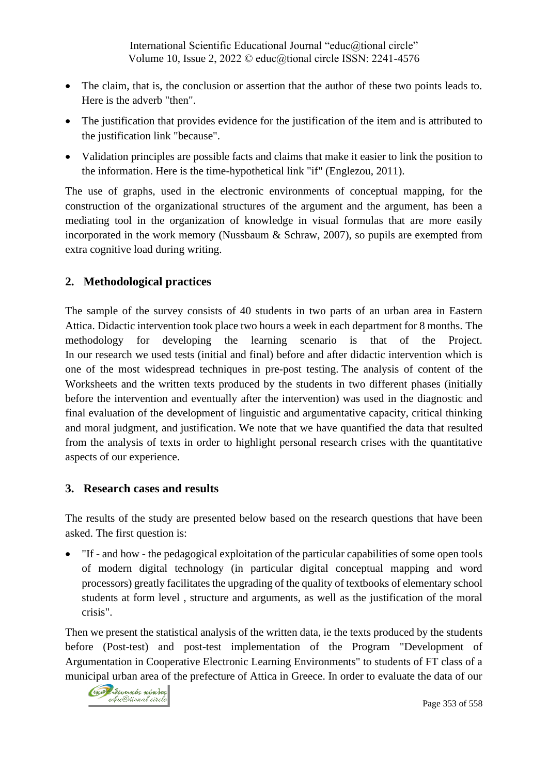- The claim, that is, the conclusion or assertion that the author of these two points leads to. Here is the adverb "then".
- The justification that provides evidence for the justification of the item and is attributed to the justification link "because".
- Validation principles are possible facts and claims that make it easier to link the position to the information. Here is the time-hypothetical link "if" (Englezou, 2011).

The use of graphs, used in the electronic environments of conceptual mapping, for the construction of the organizational structures of the argument and the argument, has been a mediating tool in the organization of knowledge in visual formulas that are more easily incorporated in the work memory (Nussbaum & Schraw, 2007), so pupils are exempted from extra cognitive load during writing.

### **2. Methodological practices**

The sample of the survey consists of 40 students in two parts of an urban area in Eastern Attica. Didactic intervention took place two hours a week in each department for 8 months. The methodology for developing the learning scenario is that of the Project. In our research we used tests (initial and final) before and after didactic intervention which is one of the most widespread techniques in pre-post testing. The analysis of content of the Worksheets and the written texts produced by the students in two different phases (initially before the intervention and eventually after the intervention) was used in the diagnostic and final evaluation of the development of linguistic and argumentative capacity, critical thinking and moral judgment, and justification. We note that we have quantified the data that resulted from the analysis of texts in order to highlight personal research crises with the quantitative aspects of our experience.

### **3. Research cases and results**

The results of the study are presented below based on the research questions that have been asked. The first question is:

• "If - and how - the pedagogical exploitation of the particular capabilities of some open tools of modern digital technology (in particular digital conceptual mapping and word processors) greatly facilitates the upgrading of the quality of textbooks of elementary school students at form level , structure and arguments, as well as the justification of the moral crisis".

Then we present the statistical analysis of the written data, ie the texts produced by the students before (Post-test) and post-test implementation of the Program "Development of Argumentation in Cooperative Electronic Learning Environments" to students of FT class of a municipal urban area of the prefecture of Attica in Greece. In order to evaluate the data of our

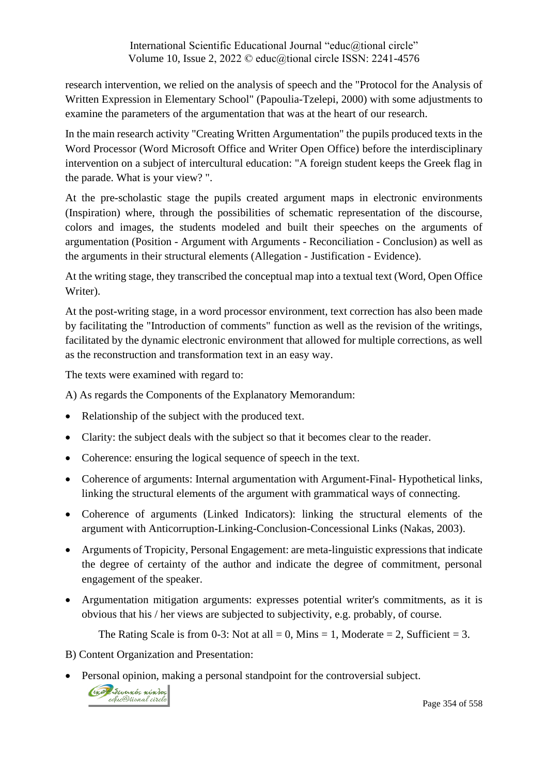research intervention, we relied on the analysis of speech and the "Protocol for the Analysis of Written Expression in Elementary School" (Papoulia-Tzelepi, 2000) with some adjustments to examine the parameters of the argumentation that was at the heart of our research.

In the main research activity "Creating Written Argumentation" the pupils produced texts in the Word Processor (Word Microsoft Office and Writer Open Office) before the interdisciplinary intervention on a subject of intercultural education: "A foreign student keeps the Greek flag in the parade. What is your view? ".

At the pre-scholastic stage the pupils created argument maps in electronic environments (Inspiration) where, through the possibilities of schematic representation of the discourse, colors and images, the students modeled and built their speeches on the arguments of argumentation (Position - Argument with Arguments - Reconciliation - Conclusion) as well as the arguments in their structural elements (Allegation - Justification - Evidence).

At the writing stage, they transcribed the conceptual map into a textual text (Word, Open Office Writer).

At the post-writing stage, in a word processor environment, text correction has also been made by facilitating the "Introduction of comments" function as well as the revision of the writings, facilitated by the dynamic electronic environment that allowed for multiple corrections, as well as the reconstruction and transformation text in an easy way.

The texts were examined with regard to:

A) As regards the Components of the Explanatory Memorandum:

- Relationship of the subject with the produced text.
- Clarity: the subject deals with the subject so that it becomes clear to the reader.
- Coherence: ensuring the logical sequence of speech in the text.
- Coherence of arguments: Internal argumentation with Argument-Final- Hypothetical links, linking the structural elements of the argument with grammatical ways of connecting.
- Coherence of arguments (Linked Indicators): linking the structural elements of the argument with Anticorruption-Linking-Conclusion-Concessional Links (Nakas, 2003).
- Arguments of Tropicity, Personal Engagement: are meta-linguistic expressions that indicate the degree of certainty of the author and indicate the degree of commitment, personal engagement of the speaker.
- Argumentation mitigation arguments: expresses potential writer's commitments, as it is obvious that his / her views are subjected to subjectivity, e.g. probably, of course.

The Rating Scale is from 0-3: Not at all  $= 0$ , Mins  $= 1$ , Moderate  $= 2$ , Sufficient  $= 3$ .

B) Content Organization and Presentation:

• Personal opinion, making a personal standpoint for the controversial subject.

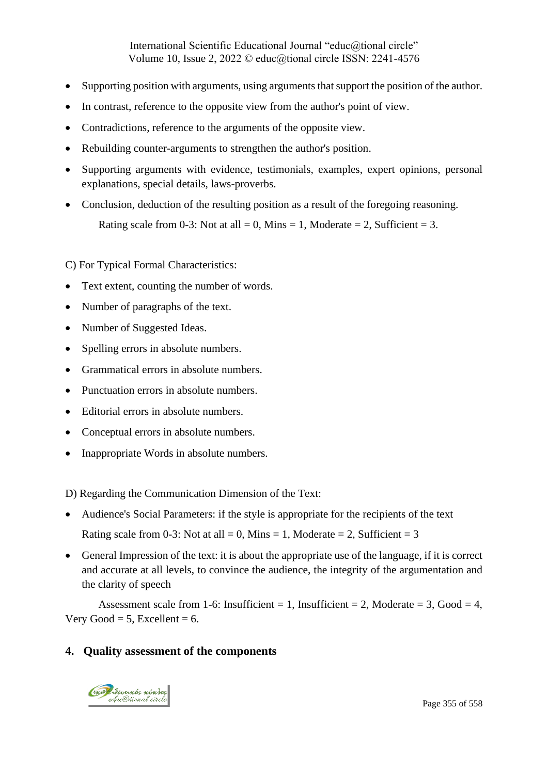- Supporting position with arguments, using arguments that support the position of the author.
- In contrast, reference to the opposite view from the author's point of view.
- Contradictions, reference to the arguments of the opposite view.
- Rebuilding counter-arguments to strengthen the author's position.
- Supporting arguments with evidence, testimonials, examples, expert opinions, personal explanations, special details, laws-proverbs.
- Conclusion, deduction of the resulting position as a result of the foregoing reasoning. Rating scale from 0-3: Not at all = 0, Mins = 1, Moderate = 2, Sufficient = 3.

C) For Typical Formal Characteristics:

- Text extent, counting the number of words.
- Number of paragraphs of the text.
- Number of Suggested Ideas.
- Spelling errors in absolute numbers.
- Grammatical errors in absolute numbers.
- Punctuation errors in absolute numbers.
- Editorial errors in absolute numbers.
- Conceptual errors in absolute numbers.
- Inappropriate Words in absolute numbers.

D) Regarding the Communication Dimension of the Text:

- Audience's Social Parameters: if the style is appropriate for the recipients of the text Rating scale from 0-3: Not at all = 0, Mins = 1, Moderate = 2, Sufficient = 3
- General Impression of the text: it is about the appropriate use of the language, if it is correct and accurate at all levels, to convince the audience, the integrity of the argumentation and the clarity of speech

Assessment scale from 1-6: Insufficient = 1, Insufficient = 2, Moderate = 3, Good = 4, Very Good =  $5$ , Excellent =  $6$ .

#### **4. Quality assessment of the components**

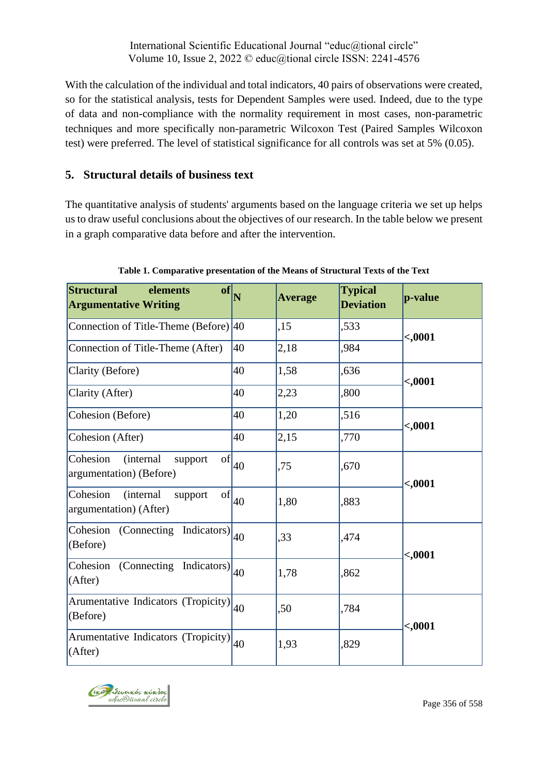With the calculation of the individual and total indicators, 40 pairs of observations were created, so for the statistical analysis, tests for Dependent Samples were used. Indeed, due to the type of data and non-compliance with the normality requirement in most cases, non-parametric techniques and more specifically non-parametric Wilcoxon Test (Paired Samples Wilcoxon test) were preferred. The level of statistical significance for all controls was set at 5% (0.05).

# **5. Structural details of business text**

The quantitative analysis of students' arguments based on the language criteria we set up helps us to draw useful conclusions about the objectives of our research. In the table below we present in a graph comparative data before and after the intervention.

| $\bf{of}$<br><b>Structural</b><br>elements<br><b>Argumentative Writing</b>      | $\overline{\textbf{N}}$ | <b>Average</b> | <b>Typical</b><br><b>Deviation</b> | p-value |  |
|---------------------------------------------------------------------------------|-------------------------|----------------|------------------------------------|---------|--|
| Connection of Title-Theme (Before) 40                                           |                         | .15            | ,533                               | <,0001  |  |
| Connection of Title-Theme (After)                                               | 40                      | 2,18           | .984                               |         |  |
| Clarity (Before)                                                                | 40                      | 1,58           | ,636                               | <,0001  |  |
| Clarity (After)                                                                 | 40                      | 2,23           | ,800                               |         |  |
| Cohesion (Before)                                                               | 40                      | 1,20           | ,516                               | <,0001  |  |
| Cohesion (After)                                                                | 40                      | 2,15           | ,770                               |         |  |
| Cohesion<br>$\sigma$<br><i>(internal)</i><br>support<br>argumentation) (Before) | 40                      | .75            | ,670                               | <,0001  |  |
| Cohesion<br>of<br><i>(internal)</i><br>support<br>argumentation) (After)        | 40                      | 1,80           | ,883                               |         |  |
| Cohesion (Connecting)<br>Indicators)<br>(Before)                                | 40                      | .33            | ,474                               | <,0001  |  |
| Cohesion<br>(Connecting Indicators)<br>(After)                                  | 40                      | 1,78           | ,862                               |         |  |
| Arumentative Indicators (Tropicity)<br>(Before)                                 | 40                      | .50            | .784                               | <,0001  |  |
| Arumentative Indicators (Tropicity)<br>(After)                                  | 40                      | 1,93           | .829                               |         |  |

**Table 1. Comparative presentation of the Means of Structural Texts of the Text**

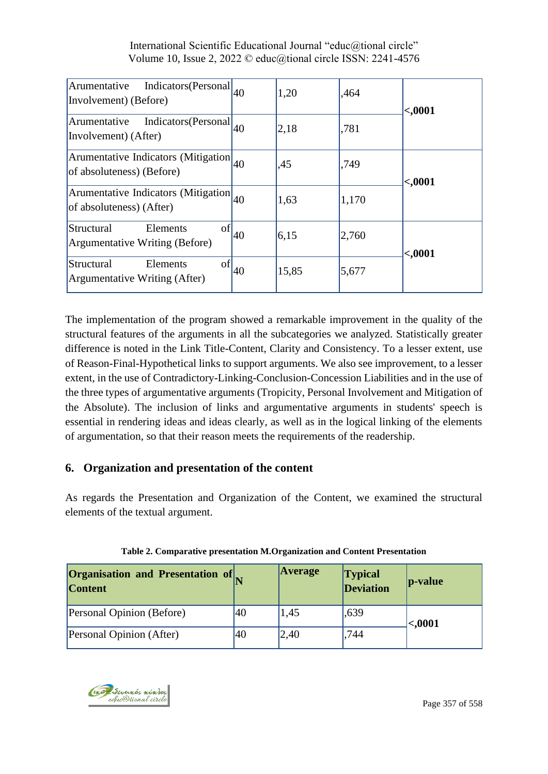| Arumentative<br>Indicators (Personal $ _{40}$<br>Involvement) (Before) |    | 1,20  | ,464  | $-.0001$ |
|------------------------------------------------------------------------|----|-------|-------|----------|
| Indicators (Personal<br>Arumentative<br>Involvement) (After)           | 40 | 2,18  | ,781  |          |
| Arumentative Indicators (Mitigation)<br>of absoluteness) (Before)      | 40 | ,45   | ,749  | <,0001   |
| Arumentative Indicators (Mitigation)<br>of absoluteness) (After)       | 40 | 1,63  | 1,170 |          |
| of<br>Structural<br>Elements<br>Argumentative Writing (Before)         | 40 | 6,15  | 2,760 | <,0001   |
| of<br>Structural<br>Elements<br>Argumentative Writing (After)          | 40 | 15,85 | 5,677 |          |

The implementation of the program showed a remarkable improvement in the quality of the structural features of the arguments in all the subcategories we analyzed. Statistically greater difference is noted in the Link Title-Content, Clarity and Consistency. To a lesser extent, use of Reason-Final-Hypothetical links to support arguments. We also see improvement, to a lesser extent, in the use of Contradictory-Linking-Conclusion-Concession Liabilities and in the use of the three types of argumentative arguments (Tropicity, Personal Involvement and Mitigation of the Absolute). The inclusion of links and argumentative arguments in students' speech is essential in rendering ideas and ideas clearly, as well as in the logical linking of the elements of argumentation, so that their reason meets the requirements of the readership.

### **6. Organization and presentation of the content**

As regards the Presentation and Organization of the Content, we examined the structural elements of the textual argument.

| <b>Organisation and Presentation of</b><br><b>Content</b> |    | <b>Average</b> | <b>Typical</b><br>Deviation | $ p-value $ |
|-----------------------------------------------------------|----|----------------|-----------------------------|-------------|
| Personal Opinion (Before)                                 | 40 | 1,45           | ,639                        | $0001$      |
| Personal Opinion (After)                                  | 40 | 2,40           | 744                         |             |

**Table 2. Comparative presentation M.Organization and Content Presentation**

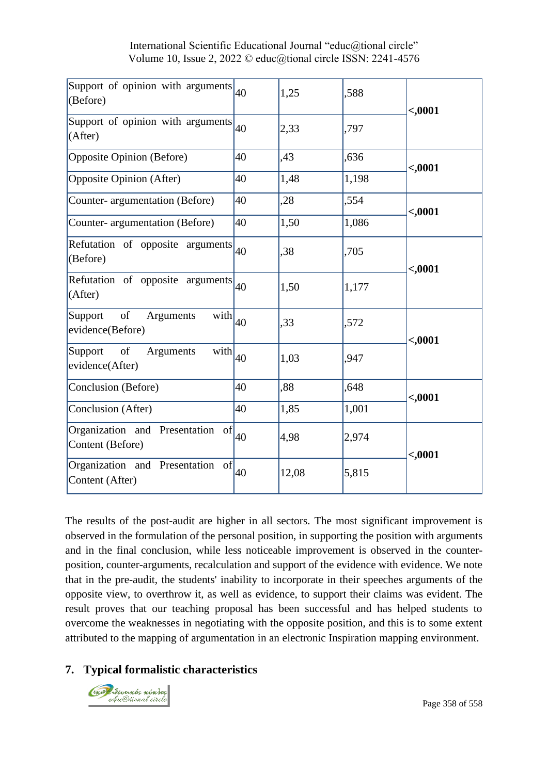| Support of opinion with arguments<br>(Before)          | 40 | 1,25  | .588  | <,0001 |  |
|--------------------------------------------------------|----|-------|-------|--------|--|
| Support of opinion with arguments<br>(After)           | 40 | 2,33  | ,797  |        |  |
| <b>Opposite Opinion (Before)</b>                       | 40 | ,43   | ,636  | <,0001 |  |
| Opposite Opinion (After)                               | 40 | 1,48  | 1,198 |        |  |
| Counter- argumentation (Before)                        | 40 | ,28   | .554  | <,0001 |  |
| Counter- argumentation (Before)                        | 40 | 1,50  | 1,086 |        |  |
| Refutation of opposite arguments<br>(Before)           | 40 | ,38   | ,705  | <,0001 |  |
| Refutation of opposite arguments<br>(After)            | 40 | 1,50  | 1,177 |        |  |
| of<br>with<br>Support<br>Arguments<br>evidence(Before) | 40 | 33    | ,572  | <,0001 |  |
| of<br>with<br>Support<br>Arguments<br>evidence(After)  | 40 | 1,03  | ,947  |        |  |
| Conclusion (Before)                                    | 40 | .88   | ,648  | <,0001 |  |
| Conclusion (After)                                     | 40 | 1,85  | 1,001 |        |  |
| Organization and Presentation of<br>Content (Before)   | 40 | 4,98  | 2,974 | <,0001 |  |
| Organization and Presentation of<br>Content (After)    | 40 | 12,08 | 5,815 |        |  |

The results of the post-audit are higher in all sectors. The most significant improvement is observed in the formulation of the personal position, in supporting the position with arguments and in the final conclusion, while less noticeable improvement is observed in the counterposition, counter-arguments, recalculation and support of the evidence with evidence. We note that in the pre-audit, the students' inability to incorporate in their speeches arguments of the opposite view, to overthrow it, as well as evidence, to support their claims was evident. The result proves that our teaching proposal has been successful and has helped students to overcome the weaknesses in negotiating with the opposite position, and this is to some extent attributed to the mapping of argumentation in an electronic Inspiration mapping environment.

### **7. Typical formalistic characteristics**

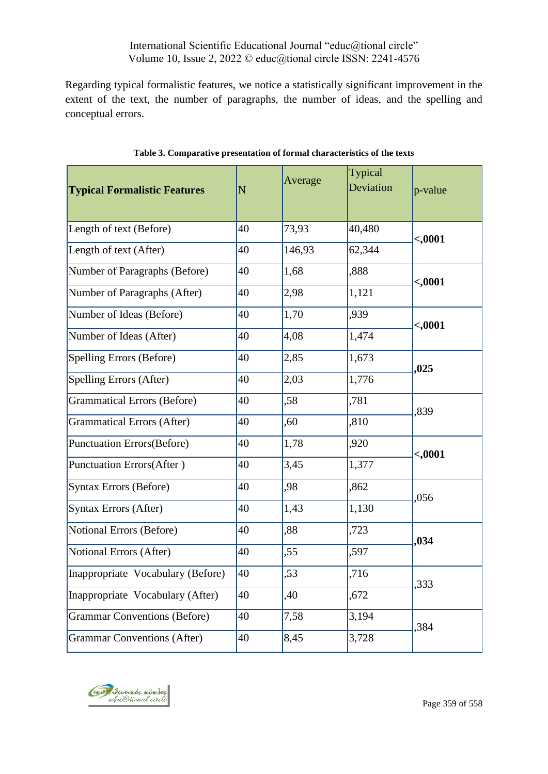Regarding typical formalistic features, we notice a statistically significant improvement in the extent of the text, the number of paragraphs, the number of ideas, and the spelling and conceptual errors.

| <b>Typical Formalistic Features</b> | N  | Average | Typical<br>Deviation | p-value |  |
|-------------------------------------|----|---------|----------------------|---------|--|
| Length of text (Before)             | 40 | 73,93   | 40,480               | <,0001  |  |
| Length of text (After)              | 40 | 146,93  | 62,344               |         |  |
| Number of Paragraphs (Before)       | 40 | 1,68    | ,888                 | <,0001  |  |
| Number of Paragraphs (After)        | 40 | 2,98    | 1,121                |         |  |
| Number of Ideas (Before)            | 40 | 1,70    | ,939                 | <,0001  |  |
| Number of Ideas (After)             | 40 | 4,08    | 1,474                |         |  |
| Spelling Errors (Before)            | 40 | 2,85    | 1,673                | ,025    |  |
| Spelling Errors (After)             | 40 | 2,03    | 1,776                |         |  |
| <b>Grammatical Errors (Before)</b>  | 40 | ,58     | ,781                 | ,839    |  |
| <b>Grammatical Errors (After)</b>   | 40 | ,60     | ,810                 |         |  |
| Punctuation Errors(Before)          | 40 | 1,78    | ,920                 | <,0001  |  |
| Punctuation Errors(After)           | 40 | 3,45    | 1,377                |         |  |
| <b>Syntax Errors (Before)</b>       | 40 | ,98     | ,862                 | ,056    |  |
| Syntax Errors (After)               | 40 | 1,43    | 1,130                |         |  |
| Notional Errors (Before)            | 40 | ,88     | ,723                 | ,034    |  |
| Notional Errors (After)             | 40 | ,55     | ,597                 |         |  |
| Inappropriate Vocabulary (Before)   | 40 | ,53     | ,716                 |         |  |
| Inappropriate Vocabulary (After)    | 40 | ,40     | ,672                 | ,333    |  |
| <b>Grammar Conventions (Before)</b> | 40 | 7,58    | 3,194                |         |  |
| <b>Grammar Conventions (After)</b>  | 40 | 8,45    | 3,728                | ,384    |  |

| Table 3. Comparative presentation of formal characteristics of the texts |  |  |  |  |
|--------------------------------------------------------------------------|--|--|--|--|
|--------------------------------------------------------------------------|--|--|--|--|

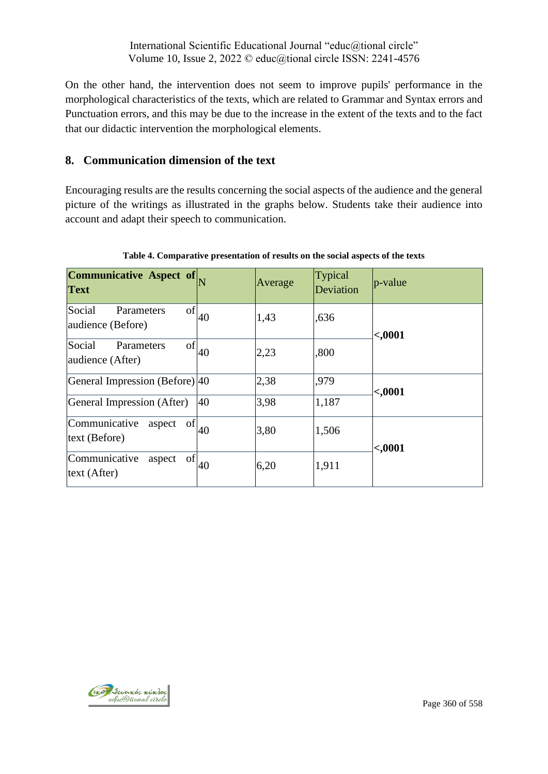On the other hand, the intervention does not seem to improve pupils' performance in the morphological characteristics of the texts, which are related to Grammar and Syntax errors and Punctuation errors, and this may be due to the increase in the extent of the texts and to the fact that our didactic intervention the morphological elements.

### **8. Communication dimension of the text**

Encouraging results are the results concerning the social aspects of the audience and the general picture of the writings as illustrated in the graphs below. Students take their audience into account and adapt their speech to communication.

| <b>Communicative Aspect of</b> $N$<br><b>Text</b> |    | Average | Typical<br>Deviation | $ p$ -value |
|---------------------------------------------------|----|---------|----------------------|-------------|
| of<br>Social<br>Parameters<br>audience (Before)   | 40 | 1,43    | ,636                 | <,0001      |
| of<br>Social<br>Parameters<br>audience (After)    | 40 | 2,23    | ,800                 |             |
| General Impression (Before) 40                    |    | 2,38    | ,979                 | <,0001      |
| General Impression (After)                        | 40 | 3,98    | 1,187                |             |
| Communicative<br>of<br>aspect<br>text (Before)    | 40 | 3,80    | 1,506                | <,0001      |
| Communicative<br>of<br>aspect<br>text (After)     | 40 | 6,20    | 1,911                |             |

**Table 4. Comparative presentation of results on the social aspects of the texts**

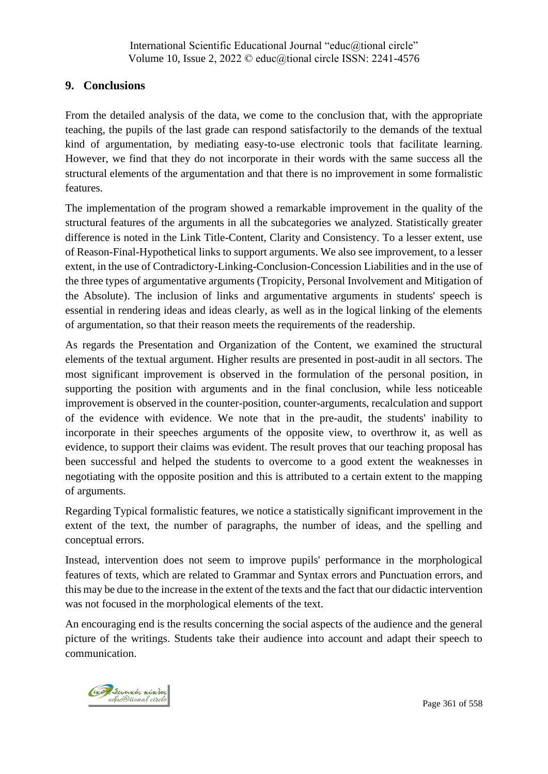### **9. Conclusions**

From the detailed analysis of the data, we come to the conclusion that, with the appropriate teaching, the pupils of the last grade can respond satisfactorily to the demands of the textual kind of argumentation, by mediating easy-to-use electronic tools that facilitate learning. However, we find that they do not incorporate in their words with the same success all the structural elements of the argumentation and that there is no improvement in some formalistic features.

The implementation of the program showed a remarkable improvement in the quality of the structural features of the arguments in all the subcategories we analyzed. Statistically greater difference is noted in the Link Title-Content, Clarity and Consistency. To a lesser extent, use of Reason-Final-Hypothetical links to support arguments. We also see improvement, to a lesser extent, in the use of Contradictory-Linking-Conclusion-Concession Liabilities and in the use of the three types of argumentative arguments (Tropicity, Personal Involvement and Mitigation of the Absolute). The inclusion of links and argumentative arguments in students' speech is essential in rendering ideas and ideas clearly, as well as in the logical linking of the elements of argumentation, so that their reason meets the requirements of the readership.

As regards the Presentation and Organization of the Content, we examined the structural elements of the textual argument. Higher results are presented in post-audit in all sectors. The most significant improvement is observed in the formulation of the personal position, in supporting the position with arguments and in the final conclusion, while less noticeable improvement is observed in the counter-position, counter-arguments, recalculation and support of the evidence with evidence. We note that in the pre-audit, the students' inability to incorporate in their speeches arguments of the opposite view, to overthrow it, as well as evidence, to support their claims was evident. The result proves that our teaching proposal has been successful and helped the students to overcome to a good extent the weaknesses in negotiating with the opposite position and this is attributed to a certain extent to the mapping of arguments.

Regarding Typical formalistic features, we notice a statistically significant improvement in the extent of the text, the number of paragraphs, the number of ideas, and the spelling and conceptual errors.

Instead, intervention does not seem to improve pupils' performance in the morphological features of texts, which are related to Grammar and Syntax errors and Punctuation errors, and this may be due to the increase in the extent of the texts and the fact that our didactic intervention was not focused in the morphological elements of the text.

An encouraging end is the results concerning the social aspects of the audience and the general picture of the writings. Students take their audience into account and adapt their speech to communication.

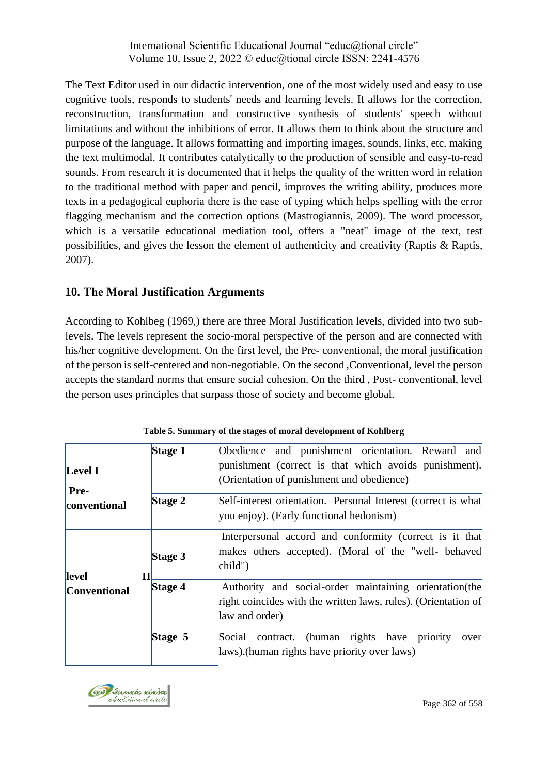The Text Editor used in our didactic intervention, one of the most widely used and easy to use cognitive tools, responds to students' needs and learning levels. It allows for the correction, reconstruction, transformation and constructive synthesis of students' speech without limitations and without the inhibitions of error. It allows them to think about the structure and purpose of the language. It allows formatting and importing images, sounds, links, etc. making the text multimodal. It contributes catalytically to the production of sensible and easy-to-read sounds. From research it is documented that it helps the quality of the written word in relation to the traditional method with paper and pencil, improves the writing ability, produces more texts in a pedagogical euphoria there is the ease of typing which helps spelling with the error flagging mechanism and the correction options (Mastrogiannis, 2009). The word processor, which is a versatile educational mediation tool, offers a "neat" image of the text, test possibilities, and gives the lesson the element of authenticity and creativity (Raptis & Raptis, 2007).

### **10. The Μoral Justification Arguments**

According to Kohlbeg (1969,) there are three Moral Justification levels, divided into two sublevels. The levels represent the socio-moral perspective of the person and are connected with his/her cognitive development. On the first level, the Pre- conventional, the moral justification of the person is self-centered and non-negotiable. On the second ,Conventional, level the person accepts the standard norms that ensure social cohesion. On the third , Post- conventional, level the person uses principles that surpass those of society and become global.

|                                        | Stage 1      | Obedience and punishment orientation. Reward and                                                                                                                                                               |
|----------------------------------------|--------------|----------------------------------------------------------------------------------------------------------------------------------------------------------------------------------------------------------------|
| <b>Level I</b><br>Pre-<br>conventional | Stage 2      | punishment (correct is that which avoids punishment).<br>(Orientation of punishment and obedience)<br>Self-interest orientation. Personal Interest (correct is what<br>you enjoy). (Early functional hedonism) |
|                                        |              |                                                                                                                                                                                                                |
| level<br><b>Conventional</b>           | Stage 3<br>Н | Interpersonal accord and conformity (correct is it that<br>makes others accepted). (Moral of the "well- behaved<br>$\text{child}$ ")                                                                           |
|                                        | Stage 4      | Authority and social-order maintaining orientation (the<br>right coincides with the written laws, rules). (Orientation of<br>law and order)                                                                    |
|                                        | Stage 5      | contract. (human rights have priority<br>Social<br>over<br>laws). (human rights have priority over laws)                                                                                                       |

|  |  |  |  | Table 5. Summary of the stages of moral development of Kohlberg |  |
|--|--|--|--|-----------------------------------------------------------------|--|
|--|--|--|--|-----------------------------------------------------------------|--|

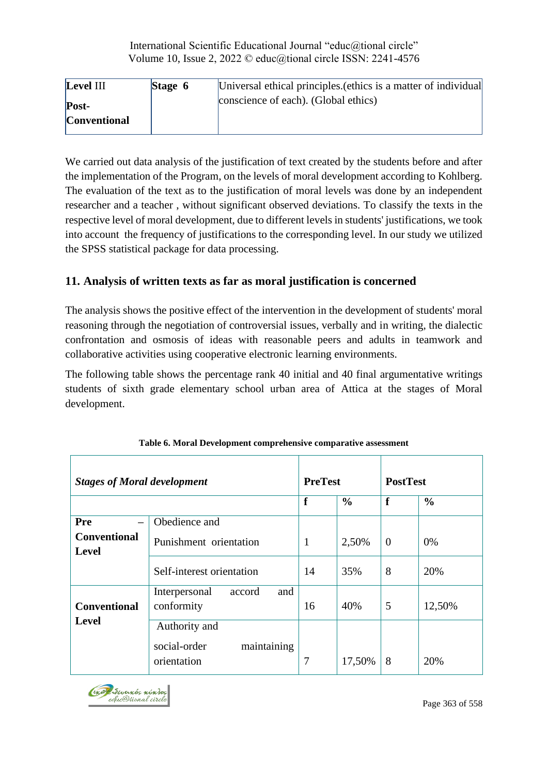| Level III                    | Stage 6 | Universal ethical principles (ethics is a matter of individual |
|------------------------------|---------|----------------------------------------------------------------|
| Post-<br><b>Conventional</b> |         | conscience of each). (Global ethics)                           |

We carried out data analysis of the justification of text created by the students before and after the implementation of the Program, on the levels of moral development according to Kohlberg. The evaluation of the text as to the justification of moral levels was done by an independent researcher and a teacher , without significant observed deviations. To classify the texts in the respective level of moral development, due to different levels in students' justifications, we took into account the frequency of justifications to the corresponding level. In our study we utilized the SPSS statistical package for data processing.

### **11. Analysis of written texts as far as moral justification is concerned**

The analysis shows the positive effect of the intervention in the development of students' moral reasoning through the negotiation of controversial issues, verbally and in writing, the dialectic confrontation and osmosis of ideas with reasonable peers and adults in teamwork and collaborative activities using cooperative electronic learning environments.

The following table shows the percentage rank 40 initial and 40 final argumentative writings students of sixth grade elementary school urban area of Attica at the stages of Moral development.

| <b>Stages of Moral development</b>  |                                                             | <b>PreTest</b> |               | <b>PostTest</b> |               |
|-------------------------------------|-------------------------------------------------------------|----------------|---------------|-----------------|---------------|
|                                     |                                                             | f              | $\frac{0}{0}$ | f               | $\frac{0}{0}$ |
| Pre                                 | Obedience and                                               |                |               |                 |               |
| <b>Conventional</b><br><b>Level</b> | Punishment orientation                                      | 1              | 2,50%         | $\overline{0}$  | 0%            |
|                                     | Self-interest orientation                                   | 14             | 35%           | 8               | 20%           |
| <b>Conventional</b>                 | and<br>Interpersonal<br>accord<br>conformity                | 16             | 40%           | 5               | 12,50%        |
| <b>Level</b>                        | Authority and<br>social-order<br>maintaining<br>orientation | $\overline{7}$ | 17,50%        | 8               | 20%           |

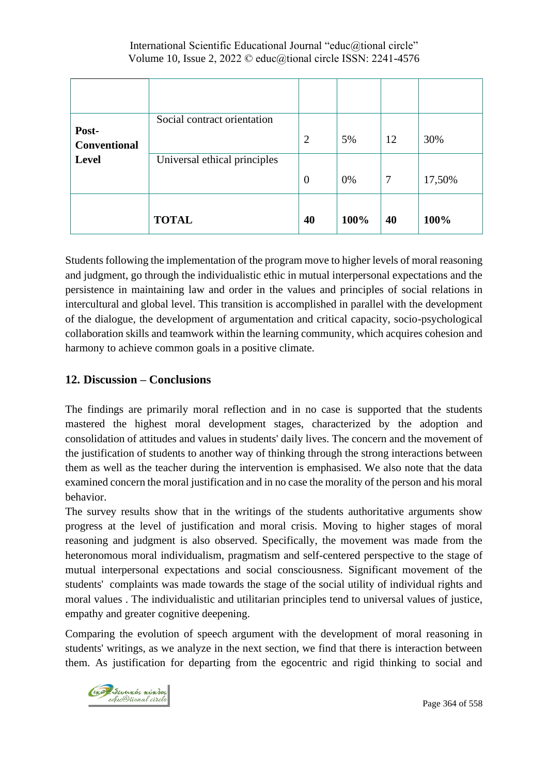|                              | Social contract orientation  |                |      |                |        |
|------------------------------|------------------------------|----------------|------|----------------|--------|
| Post-<br><b>Conventional</b> |                              | 2              | 5%   | 12             | 30%    |
| <b>Level</b>                 | Universal ethical principles |                |      |                |        |
|                              |                              | $\overline{0}$ | 0%   | $\overline{7}$ | 17,50% |
|                              | <b>TOTAL</b>                 | 40             | 100% | 40             | 100%   |

Students following the implementation of the program move to higher levels of moral reasoning and judgment, go through the individualistic ethic in mutual interpersonal expectations and the persistence in maintaining law and order in the values and principles of social relations in intercultural and global level. This transition is accomplished in parallel with the development of the dialogue, the development of argumentation and critical capacity, socio-psychological collaboration skills and teamwork within the learning community, which acquires cohesion and harmony to achieve common goals in a positive climate.

## **12. Discussion – Conclusions**

The findings are primarily moral reflection and in no case is supported that the students mastered the highest moral development stages, characterized by the adoption and consolidation of attitudes and values in students' daily lives. The concern and the movement of the justification of students to another way of thinking through the strong interactions between them as well as the teacher during the intervention is emphasised. We also note that the data examined concern the moral justification and in no case the morality of the person and his moral behavior.

The survey results show that in the writings of the students authoritative arguments show progress at the level of justification and moral crisis. Moving to higher stages of moral reasoning and judgment is also observed. Specifically, the movement was made from the heteronomous moral individualism, pragmatism and self-centered perspective to the stage of mutual interpersonal expectations and social consciousness. Significant movement of the students' complaints was made towards the stage of the social utility of individual rights and moral values . The individualistic and utilitarian principles tend to universal values of justice, empathy and greater cognitive deepening.

Comparing the evolution of speech argument with the development of moral reasoning in students' writings, as we analyze in the next section, we find that there is interaction between them. As justification for departing from the egocentric and rigid thinking to social and

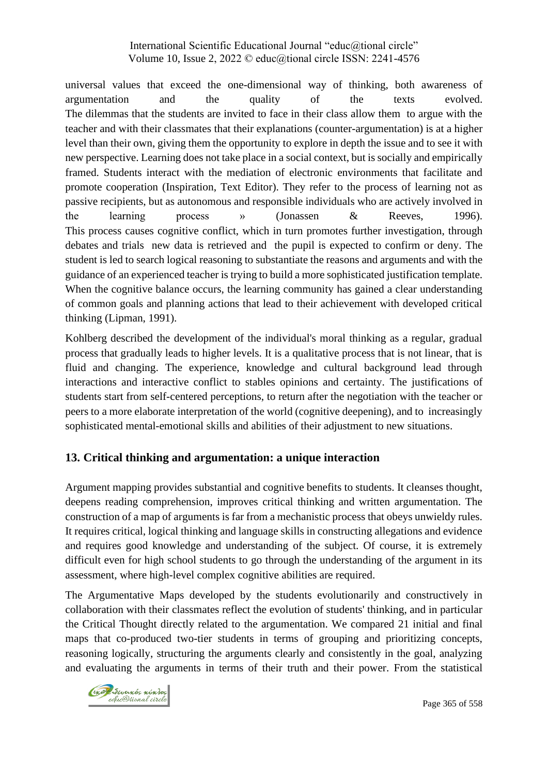universal values that exceed the one-dimensional way of thinking, both awareness of argumentation and the quality of the texts evolved. The dilemmas that the students are invited to face in their class allow them to argue with the teacher and with their classmates that their explanations (counter-argumentation) is at a higher level than their own, giving them the opportunity to explore in depth the issue and to see it with new perspective. Learning does not take place in a social context, but is socially and empirically framed. Students interact with the mediation of electronic environments that facilitate and promote cooperation (Inspiration, Text Editor). They refer to the process of learning not as passive recipients, but as autonomous and responsible individuals who are actively involved in the learning process » (Jonassen & Reeves, 1996). This process causes cognitive conflict, which in turn promotes further investigation, through debates and trials new data is retrieved and the pupil is expected to confirm or deny. The student is led to search logical reasoning to substantiate the reasons and arguments and with the guidance of an experienced teacher is trying to build a more sophisticated justification template. When the cognitive balance occurs, the learning community has gained a clear understanding of common goals and planning actions that lead to their achievement with developed critical thinking (Lipman, 1991).

Kohlberg described the development of the individual's moral thinking as a regular, gradual process that gradually leads to higher levels. It is a qualitative process that is not linear, that is fluid and changing. The experience, knowledge and cultural background lead through interactions and interactive conflict to stables opinions and certainty. The justifications of students start from self-centered perceptions, to return after the negotiation with the teacher or peers to a more elaborate interpretation of the world (cognitive deepening), and to increasingly sophisticated mental-emotional skills and abilities of their adjustment to new situations.

# **13. Critical thinking and argumentation: a unique interaction**

Argument mapping provides substantial and cognitive benefits to students. It cleanses thought, deepens reading comprehension, improves critical thinking and written argumentation. The construction of a map of arguments is far from a mechanistic process that obeys unwieldy rules. It requires critical, logical thinking and language skills in constructing allegations and evidence and requires good knowledge and understanding of the subject. Of course, it is extremely difficult even for high school students to go through the understanding of the argument in its assessment, where high-level complex cognitive abilities are required.

The Argumentative Maps developed by the students evolutionarily and constructively in collaboration with their classmates reflect the evolution of students' thinking, and in particular the Critical Thought directly related to the argumentation. We compared 21 initial and final maps that co-produced two-tier students in terms of grouping and prioritizing concepts, reasoning logically, structuring the arguments clearly and consistently in the goal, analyzing and evaluating the arguments in terms of their truth and their power. From the statistical

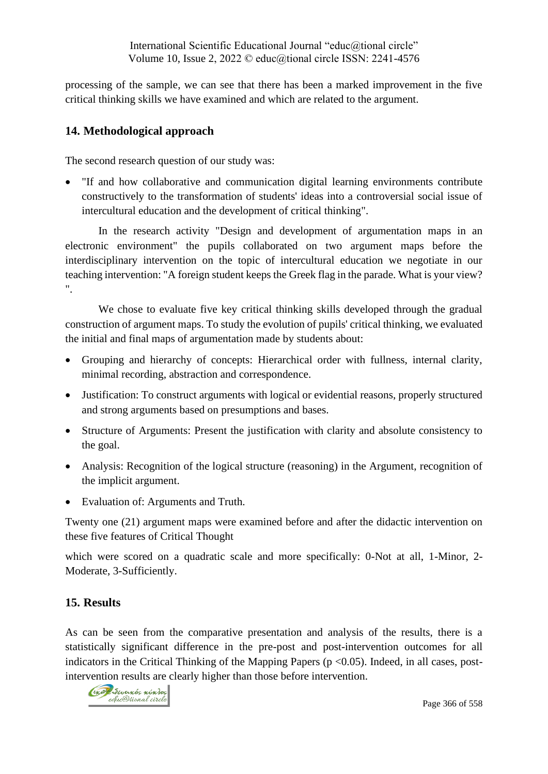processing of the sample, we can see that there has been a marked improvement in the five critical thinking skills we have examined and which are related to the argument.

## **14. Methodological approach**

The second research question of our study was:

• "If and how collaborative and communication digital learning environments contribute constructively to the transformation of students' ideas into a controversial social issue of intercultural education and the development of critical thinking".

In the research activity "Design and development of argumentation maps in an electronic environment" the pupils collaborated on two argument maps before the interdisciplinary intervention on the topic of intercultural education we negotiate in our teaching intervention: "A foreign student keeps the Greek flag in the parade. What is your view? ".

We chose to evaluate five key critical thinking skills developed through the gradual construction of argument maps. To study the evolution of pupils' critical thinking, we evaluated the initial and final maps of argumentation made by students about:

- Grouping and hierarchy of concepts: Hierarchical order with fullness, internal clarity, minimal recording, abstraction and correspondence.
- Justification: To construct arguments with logical or evidential reasons, properly structured and strong arguments based on presumptions and bases.
- Structure of Arguments: Present the justification with clarity and absolute consistency to the goal.
- Analysis: Recognition of the logical structure (reasoning) in the Argument, recognition of the implicit argument.
- Evaluation of: Arguments and Truth.

Twenty one (21) argument maps were examined before and after the didactic intervention on these five features of Critical Thought

which were scored on a quadratic scale and more specifically: 0-Not at all, 1-Minor, 2- Moderate, 3-Sufficiently.

# **15. Results**

As can be seen from the comparative presentation and analysis of the results, there is a statistically significant difference in the pre-post and post-intervention outcomes for all indicators in the Critical Thinking of the Mapping Papers ( $p < 0.05$ ). Indeed, in all cases, postintervention results are clearly higher than those before intervention.

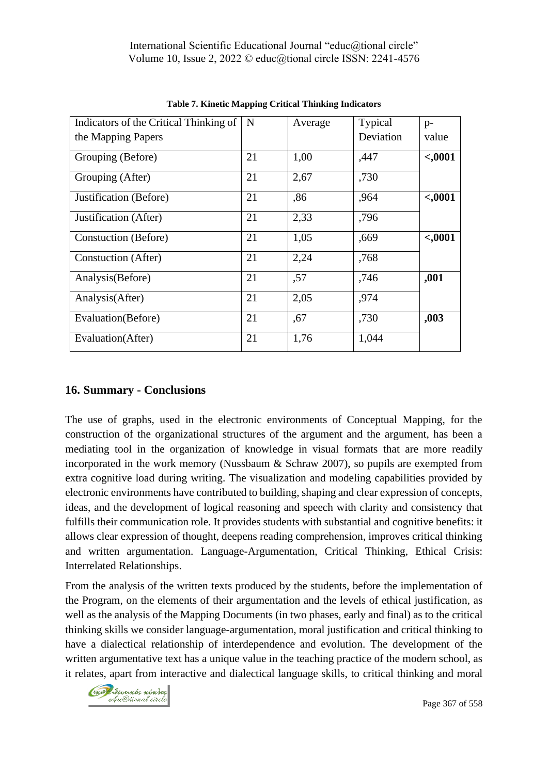| Indicators of the Critical Thinking of | N  | Average | Typical   | $p-$     |
|----------------------------------------|----|---------|-----------|----------|
| the Mapping Papers                     |    |         | Deviation | value    |
| Grouping (Before)                      | 21 | 1,00    | ,447      | <,0001   |
| Grouping (After)                       | 21 | 2,67    | ,730      |          |
| Justification (Before)                 | 21 | ,86     | ,964      | $-.0001$ |
| Justification (After)                  | 21 | 2,33    | ,796      |          |
| <b>Constuction</b> (Before)            | 21 | 1,05    | ,669      | <,0001   |
| Constuction (After)                    | 21 | 2,24    | ,768      |          |
| Analysis(Before)                       | 21 | ,57     | ,746      | ,001     |
| Analysis (After)                       | 21 | 2,05    | ,974      |          |
| Evaluation(Before)                     | 21 | ,67     | ,730      | ,003     |
| Evaluation(After)                      | 21 | 1,76    | 1,044     |          |

**Table 7. Kinetic Mapping Critical Thinking Indicators**

### **16. Summary - Conclusions**

The use of graphs, used in the electronic environments of Conceptual Mapping, for the construction of the organizational structures of the argument and the argument, has been a mediating tool in the organization of knowledge in visual formats that are more readily incorporated in the work memory (Nussbaum & Schraw 2007), so pupils are exempted from extra cognitive load during writing. The visualization and modeling capabilities provided by electronic environments have contributed to building, shaping and clear expression of concepts, ideas, and the development of logical reasoning and speech with clarity and consistency that fulfills their communication role. It provides students with substantial and cognitive benefits: it allows clear expression of thought, deepens reading comprehension, improves critical thinking and written argumentation. Language-Argumentation, Critical Thinking, Ethical Crisis: Interrelated Relationships.

From the analysis of the written texts produced by the students, before the implementation of the Program, on the elements of their argumentation and the levels of ethical justification, as well as the analysis of the Mapping Documents (in two phases, early and final) as to the critical thinking skills we consider language-argumentation, moral justification and critical thinking to have a dialectical relationship of interdependence and evolution. The development of the written argumentative text has a unique value in the teaching practice of the modern school, as it relates, apart from interactive and dialectical language skills, to critical thinking and moral

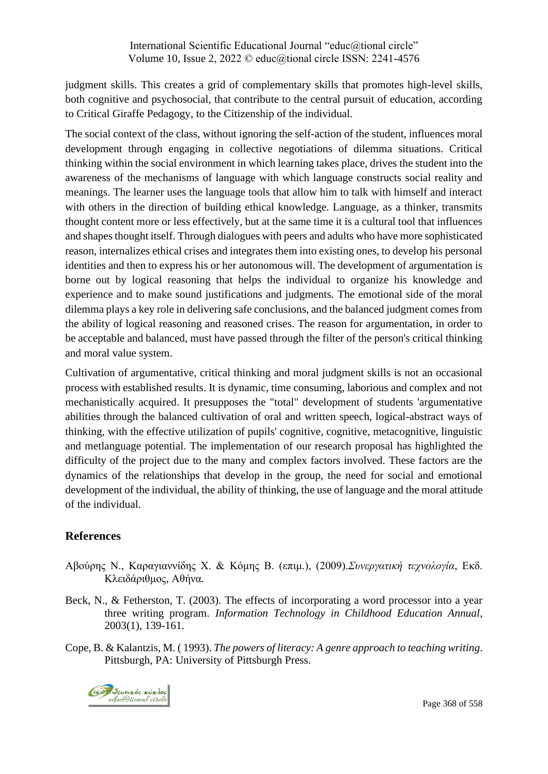judgment skills. This creates a grid of complementary skills that promotes high-level skills, both cognitive and psychosocial, that contribute to the central pursuit of education, according to Critical Giraffe Pedagogy, to the Citizenship of the individual.

The social context of the class, without ignoring the self-action of the student, influences moral development through engaging in collective negotiations of dilemma situations. Critical thinking within the social environment in which learning takes place, drives the student into the awareness of the mechanisms of language with which language constructs social reality and meanings. The learner uses the language tools that allow him to talk with himself and interact with others in the direction of building ethical knowledge. Language, as a thinker, transmits thought content more or less effectively, but at the same time it is a cultural tool that influences and shapes thought itself. Through dialogues with peers and adults who have more sophisticated reason, internalizes ethical crises and integrates them into existing ones, to develop his personal identities and then to express his or her autonomous will. The development of argumentation is borne out by logical reasoning that helps the individual to organize his knowledge and experience and to make sound justifications and judgments. The emotional side of the moral dilemma plays a key role in delivering safe conclusions, and the balanced judgment comes from the ability of logical reasoning and reasoned crises. The reason for argumentation, in order to be acceptable and balanced, must have passed through the filter of the person's critical thinking and moral value system.

Cultivation of argumentative, critical thinking and moral judgment skills is not an occasional process with established results. It is dynamic, time consuming, laborious and complex and not mechanistically acquired. It presupposes the "total" development of students 'argumentative abilities through the balanced cultivation of oral and written speech, logical-abstract ways of thinking, with the effective utilization of pupils' cognitive, cognitive, metacognitive, linguistic and metlanguage potential. The implementation of our research proposal has highlighted the difficulty of the project due to the many and complex factors involved. These factors are the dynamics of the relationships that develop in the group, the need for social and emotional development of the individual, the ability of thinking, the use of language and the moral attitude of the individual.

# **References**

- Αβούρης Ν., Καραγιαννίδης Χ. & Κόμης Β. (επιμ.), (2009).*Συνεργατική τεχνολογία*, Εκδ. Κλειδάριθμος, Αθήνα.
- Beck, N., & Fetherston, T. (2003). The effects of incorporating a word processor into a year three writing program. *Information Technology in Childhood Education Annual*, 2003(1), 139-161.
- Cope, B. & Kalantzis, M. ( 1993). *The powers of literacy: A genre approach to teaching writing*. Pittsburgh, PA: University of Pittsburgh Press.

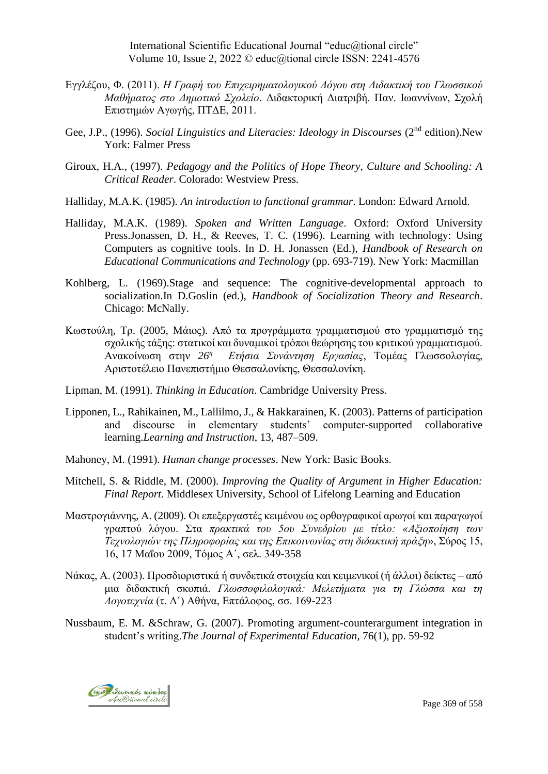- Εγγλέζου, Φ. (2011). *Η Γραφή του Επιχειρηματολογικού Λόγου στη Διδακτική του Γλωσσικού Μαθήματος στο Δημοτικό Σχολείο*. Διδακτορική Διατριβή. Παν. Ιωαννίνων, Σχολή Επιστημών Αγωγής, ΠΤΔΕ, 2011.
- Gee, J.P., (1996). *Social Linguistics and Literacies: Ideology in Discourses* (2nd edition).New York: Falmer Press
- Giroux, H.A., (1997). *Pedagogy and the Politics of Hope Theory*, *Culture and Schooling: A Critical Reader*. Colorado: Westview Press.
- Halliday, M.A.K. (1985). *An introduction to functional grammar*. London: Edward Arnold.
- Halliday, M.A.K. (1989). *Spoken and Written Language*. Oxford: Oxford University Press.Jonassen, D. H., & Reeves, T. C. (1996). Learning with technology: Using Computers as cognitive tools. In D. H. Jonassen (Ed.), *Handbook of Research on Educational Communications and Technology* (pp. 693-719). New York: Macmillan
- Kohlberg, L. (1969).Stage and sequence: The cognitive-developmental approach to socialization.In D.Goslin (ed.), *Handbook of Socialization Theory and Research*. Chicago: McNally.
- Κωστούλη, Τρ. (2005, Μάιος). Από τα προγράμματα γραμματισμού στο γραμματισμό της σχολικής τάξης: στατικοί και δυναμικοί τρόποι θεώρησης του κριτικού γραμματισμού. Ανακοίνωση στην *26<sup>η</sup> Ετήσια Συνάντηση Εργασίας*, Τομέας Γλωσσολογίας, Αριστοτέλειο Πανεπιστήμιο Θεσσαλονίκης, Θεσσαλονίκη.
- Lipman, M. (1991). *Thinking in Education*. Cambridge University Press.
- Lipponen, L., Rahikainen, M., Lallilmo, J., & Hakkarainen, K. (2003). Patterns of participation and discourse in elementary students' computer-supported collaborative learning.*Learning and Instruction*, 13, 487–509.
- Mahoney, M. (1991). *Human change processes*. New York: Basic Books.
- Μitchell, S. & Riddle, M. (2000). *Improving the Quality of Argument in Higher Education: Final Report*. Middlesex University, School of Lifelong Learning and Education
- Μαστρογιάννης, Α. (2009). Οι επεξεργαστές κειμένου ως ορθογραφικοί αρωγοί και παραγωγοί γραπτού λόγου. Στα *πρακτικά του 5ου Συνεδρίου με τίτλο: «Αξιοποίηση των Τεχνολογιών της Πληροφορίας και της Επικοινωνίας στη διδακτική πράξη*», Σύρος 15, 16, 17 Μαΐου 2009, Τόμος Α΄, σελ. 349-358
- Νάκας, Α. (2003). Προσδιοριστικά ή συνδετικά στοιχεία και κειμενικοί (ή άλλοι) δείκτες από μια διδακτική σκοπιά. *Γλωσσοφιλολογικά: Μελετήματα για τη Γλώσσα και τη Λογοτεχνία* (τ. Δ΄) Αθήνα, Επτάλοφος, σσ. 169-223
- Nussbaum, E. M. &Schraw, G. (2007). Promoting argument-counterargument integration in student's writing.*The Journal of Experimental Education*, 76(1), pp. 59-92